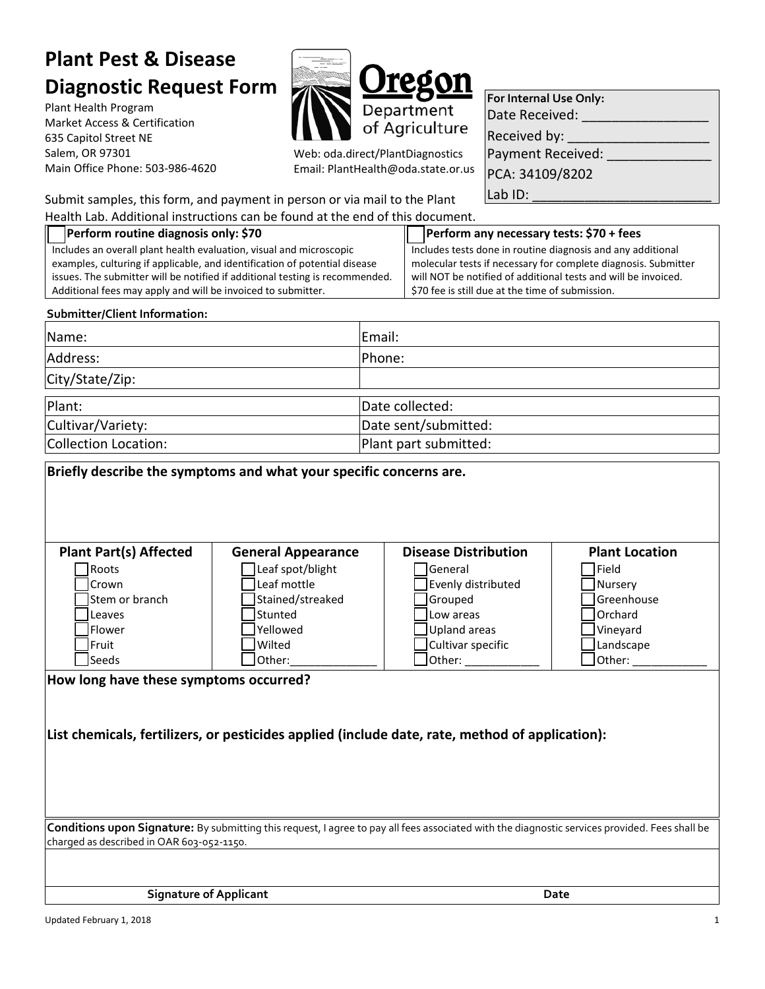# **Plant Pest & Disease Diagnostic Request Form**

Plant Health Program Market Access & Certification 635 Capitol Street NE Salem, OR 97301 Main Office Phone: 503-986-4620



Web: oda.direct/PlantDiagnostics Email: PlantHealth@oda.state.or.us

| For Internal Use Only: |  |  |  |  |
|------------------------|--|--|--|--|
| Date Received:         |  |  |  |  |
| Received by:           |  |  |  |  |
| Payment Received:      |  |  |  |  |
| PCA: 34109/8202        |  |  |  |  |
| Lab ID:                |  |  |  |  |

Submit samples, this form, and payment in person or via mail to the Plant

Health Lab. Additional instructions can be found at the end of this document.

| Health Lab. Additional instructions can be found at the end of this document.                                                                  |                           |                       |                                                                                                                    |                       |  |
|------------------------------------------------------------------------------------------------------------------------------------------------|---------------------------|-----------------------|--------------------------------------------------------------------------------------------------------------------|-----------------------|--|
| Perform routine diagnosis only: \$70                                                                                                           |                           |                       | Perform any necessary tests: \$70 + fees                                                                           |                       |  |
| Includes an overall plant health evaluation, visual and microscopic                                                                            |                           |                       | Includes tests done in routine diagnosis and any additional                                                        |                       |  |
| examples, culturing if applicable, and identification of potential disease                                                                     |                           |                       | molecular tests if necessary for complete diagnosis. Submitter                                                     |                       |  |
| issues. The submitter will be notified if additional testing is recommended.<br>Additional fees may apply and will be invoiced to submitter.   |                           |                       | will NOT be notified of additional tests and will be invoiced.<br>\$70 fee is still due at the time of submission. |                       |  |
|                                                                                                                                                |                           |                       |                                                                                                                    |                       |  |
| Submitter/Client Information:                                                                                                                  |                           |                       |                                                                                                                    |                       |  |
| Name:                                                                                                                                          |                           | Email:                |                                                                                                                    |                       |  |
| Address:                                                                                                                                       |                           | Phone:                |                                                                                                                    |                       |  |
| City/State/Zip:                                                                                                                                |                           |                       |                                                                                                                    |                       |  |
| Plant:                                                                                                                                         |                           | Date collected:       |                                                                                                                    |                       |  |
| Cultivar/Variety:                                                                                                                              |                           | Date sent/submitted:  |                                                                                                                    |                       |  |
| <b>Collection Location:</b>                                                                                                                    |                           | Plant part submitted: |                                                                                                                    |                       |  |
| Briefly describe the symptoms and what your specific concerns are.                                                                             |                           |                       |                                                                                                                    |                       |  |
| <b>Plant Part(s) Affected</b>                                                                                                                  | <b>General Appearance</b> |                       | <b>Disease Distribution</b>                                                                                        | <b>Plant Location</b> |  |
| Roots                                                                                                                                          | Leaf spot/blight          |                       | General                                                                                                            | $\mathsf{TeId}$       |  |
| Crown                                                                                                                                          | Leaf mottle               |                       | Evenly distributed                                                                                                 | Nursery               |  |
| Stem or branch                                                                                                                                 | Stained/streaked          |                       | Grouped                                                                                                            | Greenhouse            |  |
| Leaves                                                                                                                                         | Stunted                   |                       | Low areas                                                                                                          | Orchard               |  |
| Flower                                                                                                                                         | Yellowed                  |                       | <b>Upland areas</b>                                                                                                | Vineyard              |  |
| Fruit                                                                                                                                          | Wilted                    |                       | Cultivar specific                                                                                                  | Landscape             |  |
| Seeds                                                                                                                                          | Other:                    |                       | Other:                                                                                                             | Other:                |  |
| How long have these symptoms occurred?                                                                                                         |                           |                       |                                                                                                                    |                       |  |
|                                                                                                                                                |                           |                       |                                                                                                                    |                       |  |
|                                                                                                                                                |                           |                       |                                                                                                                    |                       |  |
| List chemicals, fertilizers, or pesticides applied (include date, rate, method of application):                                                |                           |                       |                                                                                                                    |                       |  |
|                                                                                                                                                |                           |                       |                                                                                                                    |                       |  |
|                                                                                                                                                |                           |                       |                                                                                                                    |                       |  |
|                                                                                                                                                |                           |                       |                                                                                                                    |                       |  |
|                                                                                                                                                |                           |                       |                                                                                                                    |                       |  |
| Conditions upon Signature: By submitting this request, I agree to pay all fees associated with the diagnostic services provided. Fees shall be |                           |                       |                                                                                                                    |                       |  |
| charged as described in OAR 603-052-1150.                                                                                                      |                           |                       |                                                                                                                    |                       |  |
|                                                                                                                                                |                           |                       |                                                                                                                    |                       |  |
|                                                                                                                                                |                           |                       |                                                                                                                    |                       |  |
| <b>Signature of Applicant</b>                                                                                                                  |                           |                       | Date                                                                                                               |                       |  |